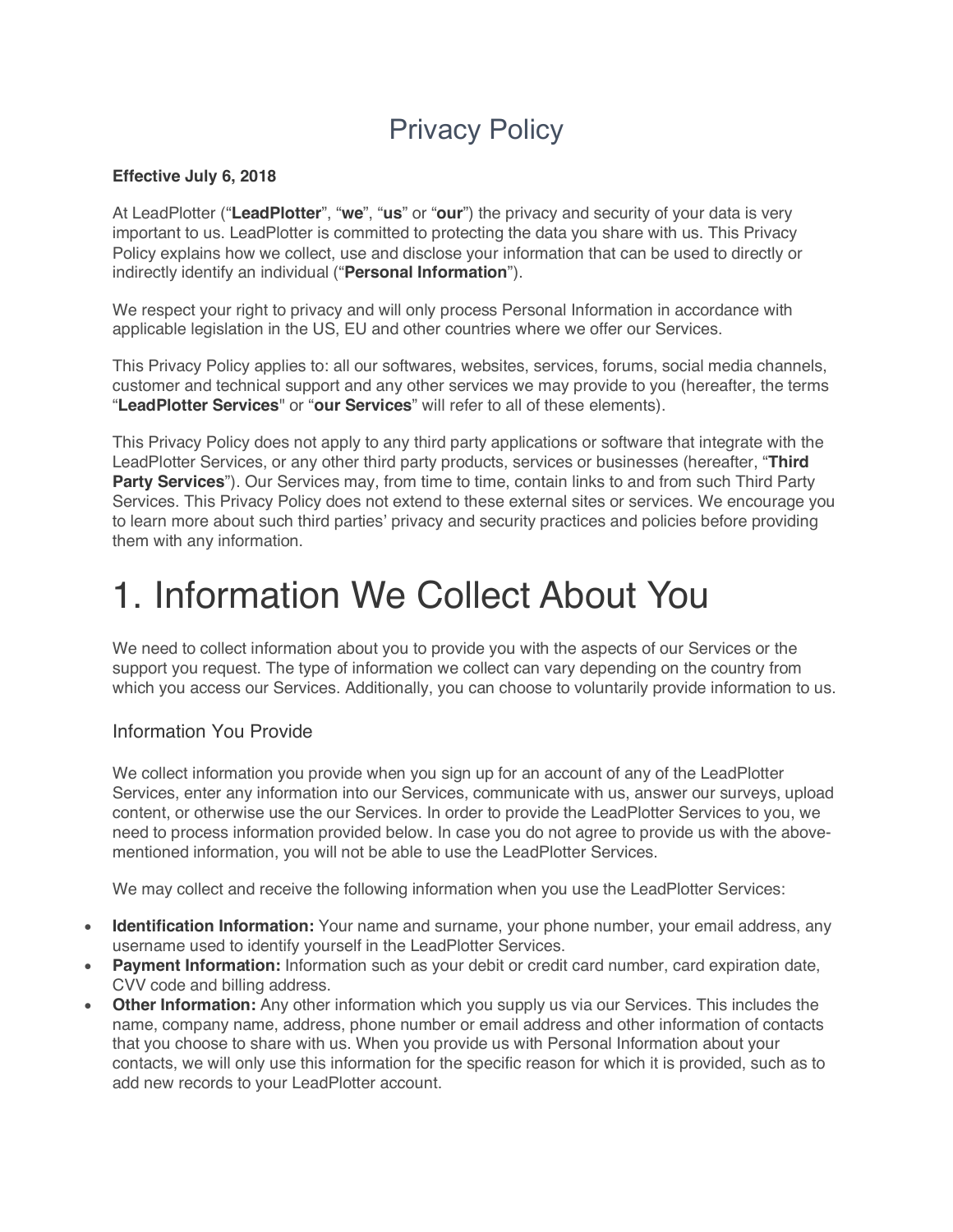### Privacy Policy

#### **Effective July 6, 2018**

At LeadPlotter ("**LeadPlotter**", "**we**", "**us**" or "**our**") the privacy and security of your data is very important to us. LeadPlotter is committed to protecting the data you share with us. This Privacy Policy explains how we collect, use and disclose your information that can be used to directly or indirectly identify an individual ("**Personal Information**").

We respect your right to privacy and will only process Personal Information in accordance with applicable legislation in the US, EU and other countries where we offer our Services.

This Privacy Policy applies to: all our softwares, websites, services, forums, social media channels, customer and technical support and any other services we may provide to you (hereafter, the terms "**LeadPlotter Services**" or "**our Services**" will refer to all of these elements).

This Privacy Policy does not apply to any third party applications or software that integrate with the LeadPlotter Services, or any other third party products, services or businesses (hereafter, "**Third Party Services**"). Our Services may, from time to time, contain links to and from such Third Party Services. This Privacy Policy does not extend to these external sites or services. We encourage you to learn more about such third parties' privacy and security practices and policies before providing them with any information.

### 1. Information We Collect About You

We need to collect information about you to provide you with the aspects of our Services or the support you request. The type of information we collect can vary depending on the country from which you access our Services. Additionally, you can choose to voluntarily provide information to us.

#### Information You Provide

We collect information you provide when you sign up for an account of any of the LeadPlotter Services, enter any information into our Services, communicate with us, answer our surveys, upload content, or otherwise use the our Services. In order to provide the LeadPlotter Services to you, we need to process information provided below. In case you do not agree to provide us with the abovementioned information, you will not be able to use the LeadPlotter Services.

We may collect and receive the following information when you use the LeadPlotter Services:

- **Identification Information:** Your name and surname, your phone number, your email address, any username used to identify yourself in the LeadPlotter Services.
- **Payment Information:** Information such as your debit or credit card number, card expiration date, CVV code and billing address.
- **Other Information:** Any other information which you supply us via our Services. This includes the name, company name, address, phone number or email address and other information of contacts that you choose to share with us. When you provide us with Personal Information about your contacts, we will only use this information for the specific reason for which it is provided, such as to add new records to your LeadPlotter account.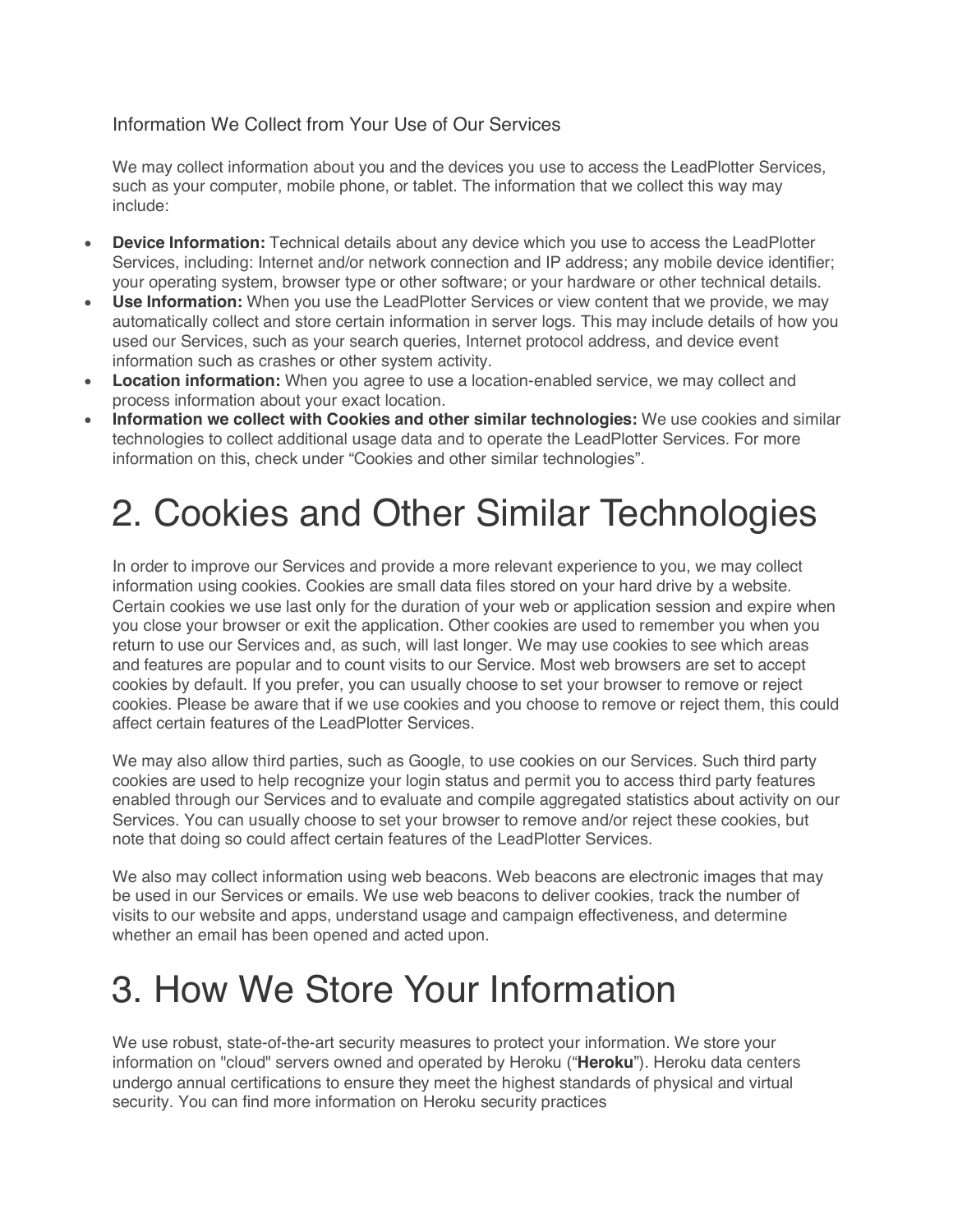#### Information We Collect from Your Use of Our Services

We may collect information about you and the devices you use to access the LeadPlotter Services, such as your computer, mobile phone, or tablet. The information that we collect this way may include:

- **Device Information:** Technical details about any device which you use to access the LeadPlotter Services, including: Internet and/or network connection and IP address; any mobile device identifier; your operating system, browser type or other software; or your hardware or other technical details.
- **Use Information:** When you use the LeadPlotter Services or view content that we provide, we may automatically collect and store certain information in server logs. This may include details of how you used our Services, such as your search queries, Internet protocol address, and device event information such as crashes or other system activity.
- **Location information:** When you agree to use a location-enabled service, we may collect and process information about your exact location.
- **Information we collect with Cookies and other similar technologies:** We use cookies and similar technologies to collect additional usage data and to operate the LeadPlotter Services. For more information on this, check under "Cookies and other similar technologies".

# 2. Cookies and Other Similar Technologies

In order to improve our Services and provide a more relevant experience to you, we may collect information using cookies. Cookies are small data files stored on your hard drive by a website. Certain cookies we use last only for the duration of your web or application session and expire when you close your browser or exit the application. Other cookies are used to remember you when you return to use our Services and, as such, will last longer. We may use cookies to see which areas and features are popular and to count visits to our Service. Most web browsers are set to accept cookies by default. If you prefer, you can usually choose to set your browser to remove or reject cookies. Please be aware that if we use cookies and you choose to remove or reject them, this could affect certain features of the LeadPlotter Services.

We may also allow third parties, such as Google, to use cookies on our Services. Such third party cookies are used to help recognize your login status and permit you to access third party features enabled through our Services and to evaluate and compile aggregated statistics about activity on our Services. You can usually choose to set your browser to remove and/or reject these cookies, but note that doing so could affect certain features of the LeadPlotter Services.

We also may collect information using web beacons. Web beacons are electronic images that may be used in our Services or emails. We use web beacons to deliver cookies, track the number of visits to our website and apps, understand usage and campaign effectiveness, and determine whether an email has been opened and acted upon.

### 3. How We Store Your Information

We use robust, state-of-the-art security measures to protect your information. We store your information on "cloud" servers owned and operated by Heroku ("**Heroku**"). Heroku data centers undergo annual certifications to ensure they meet the highest standards of physical and virtual security. You can find more information on Heroku security practices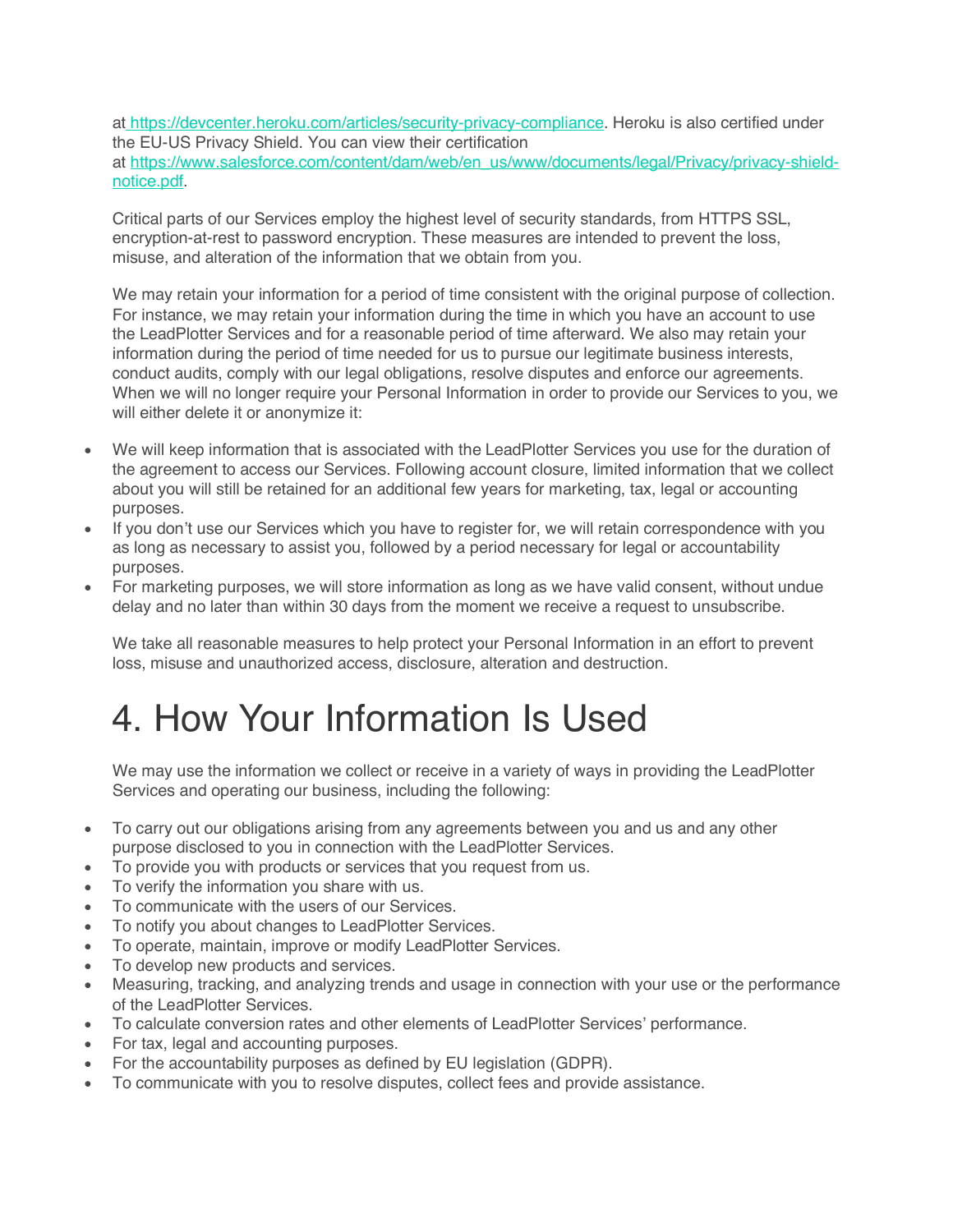at https://devcenter.heroku.com/articles/security-privacy-compliance. Heroku is also certified under the EU-US Privacy Shield. You can view their certification at https://www.salesforce.com/content/dam/web/en\_us/www/documents/legal/Privacy/privacy-shieldnotice.pdf.

Critical parts of our Services employ the highest level of security standards, from HTTPS SSL, encryption-at-rest to password encryption. These measures are intended to prevent the loss, misuse, and alteration of the information that we obtain from you.

We may retain your information for a period of time consistent with the original purpose of collection. For instance, we may retain your information during the time in which you have an account to use the LeadPlotter Services and for a reasonable period of time afterward. We also may retain your information during the period of time needed for us to pursue our legitimate business interests, conduct audits, comply with our legal obligations, resolve disputes and enforce our agreements. When we will no longer require your Personal Information in order to provide our Services to you, we will either delete it or anonymize it:

- We will keep information that is associated with the LeadPlotter Services you use for the duration of the agreement to access our Services. Following account closure, limited information that we collect about you will still be retained for an additional few years for marketing, tax, legal or accounting purposes.
- If you don't use our Services which you have to register for, we will retain correspondence with you as long as necessary to assist you, followed by a period necessary for legal or accountability purposes.
- For marketing purposes, we will store information as long as we have valid consent, without undue delay and no later than within 30 days from the moment we receive a request to unsubscribe.

We take all reasonable measures to help protect your Personal Information in an effort to prevent loss, misuse and unauthorized access, disclosure, alteration and destruction.

### 4. How Your Information Is Used

We may use the information we collect or receive in a variety of ways in providing the LeadPlotter Services and operating our business, including the following:

- To carry out our obligations arising from any agreements between you and us and any other purpose disclosed to you in connection with the LeadPlotter Services.
- To provide you with products or services that you request from us.
- To verify the information you share with us.
- To communicate with the users of our Services.
- To notify you about changes to LeadPlotter Services.
- To operate, maintain, improve or modify LeadPlotter Services.
- To develop new products and services.
- Measuring, tracking, and analyzing trends and usage in connection with your use or the performance of the LeadPlotter Services.
- To calculate conversion rates and other elements of LeadPlotter Services' performance.
- For tax, legal and accounting purposes.
- For the accountability purposes as defined by EU legislation (GDPR).
- To communicate with you to resolve disputes, collect fees and provide assistance.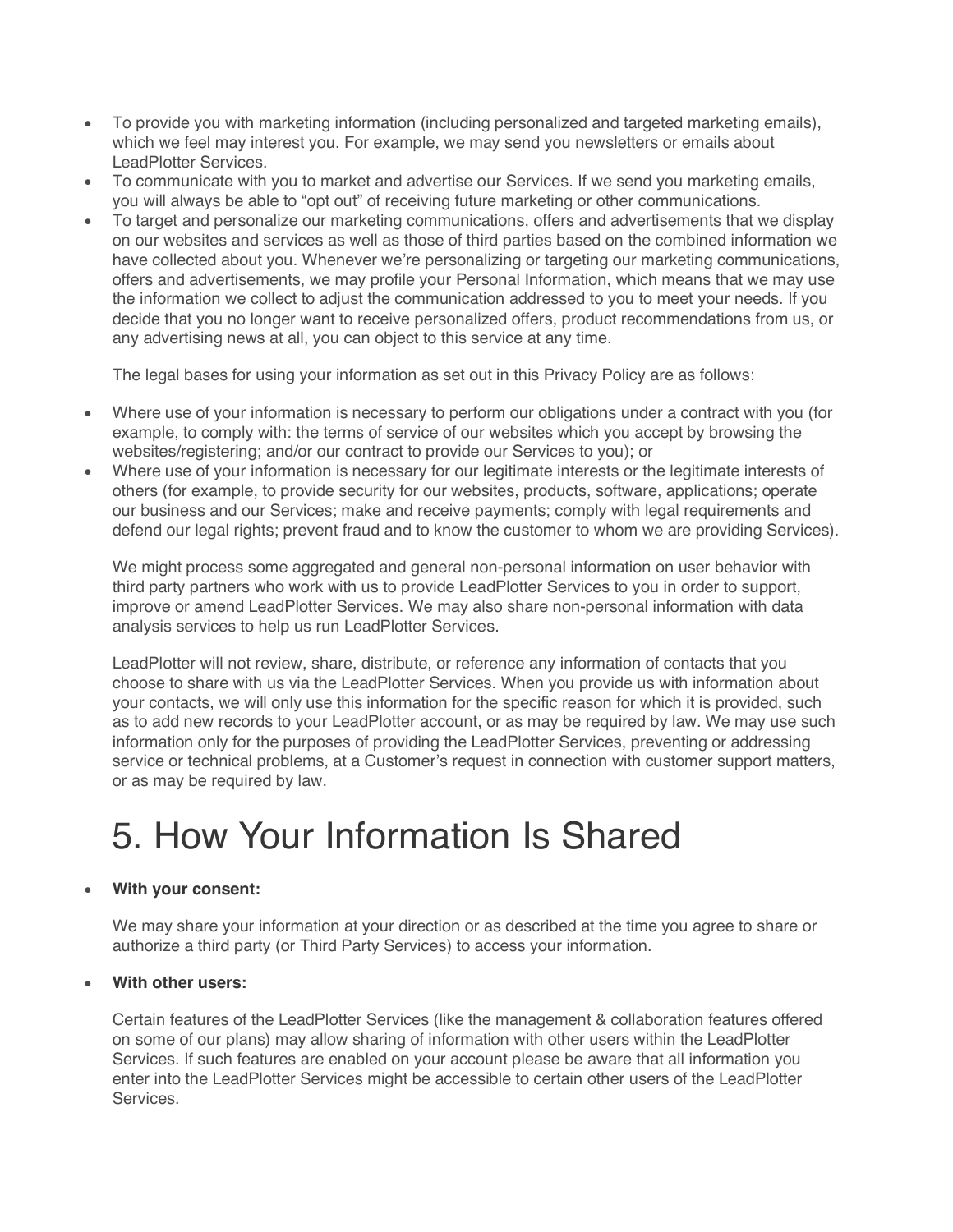- To provide you with marketing information (including personalized and targeted marketing emails), which we feel may interest you. For example, we may send you newsletters or emails about LeadPlotter Services.
- To communicate with you to market and advertise our Services. If we send you marketing emails, you will always be able to "opt out" of receiving future marketing or other communications.
- To target and personalize our marketing communications, offers and advertisements that we display on our websites and services as well as those of third parties based on the combined information we have collected about you. Whenever we're personalizing or targeting our marketing communications, offers and advertisements, we may profile your Personal Information, which means that we may use the information we collect to adjust the communication addressed to you to meet your needs. If you decide that you no longer want to receive personalized offers, product recommendations from us, or any advertising news at all, you can object to this service at any time.

The legal bases for using your information as set out in this Privacy Policy are as follows:

- Where use of your information is necessary to perform our obligations under a contract with you (for example, to comply with: the terms of service of our websites which you accept by browsing the websites/registering; and/or our contract to provide our Services to you); or
- Where use of your information is necessary for our legitimate interests or the legitimate interests of others (for example, to provide security for our websites, products, software, applications; operate our business and our Services; make and receive payments; comply with legal requirements and defend our legal rights; prevent fraud and to know the customer to whom we are providing Services).

We might process some aggregated and general non-personal information on user behavior with third party partners who work with us to provide LeadPlotter Services to you in order to support, improve or amend LeadPlotter Services. We may also share non-personal information with data analysis services to help us run LeadPlotter Services.

LeadPlotter will not review, share, distribute, or reference any information of contacts that you choose to share with us via the LeadPlotter Services. When you provide us with information about your contacts, we will only use this information for the specific reason for which it is provided, such as to add new records to your LeadPlotter account, or as may be required by law. We may use such information only for the purposes of providing the LeadPlotter Services, preventing or addressing service or technical problems, at a Customer's request in connection with customer support matters, or as may be required by law.

### 5. How Your Information Is Shared

#### • **With your consent:**

We may share your information at your direction or as described at the time you agree to share or authorize a third party (or Third Party Services) to access your information.

#### • **With other users:**

Certain features of the LeadPlotter Services (like the management & collaboration features offered on some of our plans) may allow sharing of information with other users within the LeadPlotter Services. If such features are enabled on your account please be aware that all information you enter into the LeadPlotter Services might be accessible to certain other users of the LeadPlotter Services.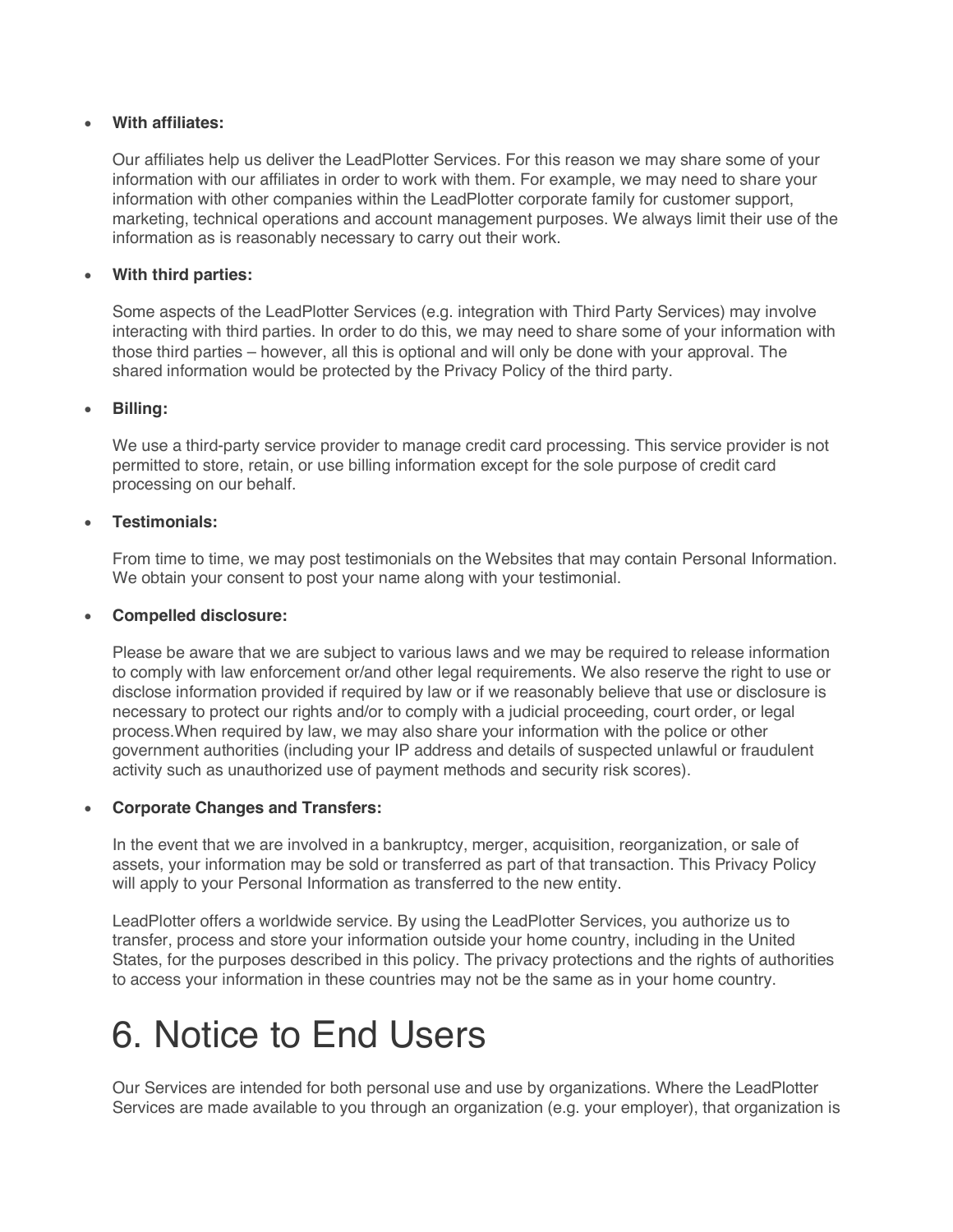#### • **With affiliates:**

Our affiliates help us deliver the LeadPlotter Services. For this reason we may share some of your information with our affiliates in order to work with them. For example, we may need to share your information with other companies within the LeadPlotter corporate family for customer support, marketing, technical operations and account management purposes. We always limit their use of the information as is reasonably necessary to carry out their work.

#### • **With third parties:**

Some aspects of the LeadPlotter Services (e.g. integration with Third Party Services) may involve interacting with third parties. In order to do this, we may need to share some of your information with those third parties – however, all this is optional and will only be done with your approval. The shared information would be protected by the Privacy Policy of the third party.

#### • **Billing:**

We use a third-party service provider to manage credit card processing. This service provider is not permitted to store, retain, or use billing information except for the sole purpose of credit card processing on our behalf.

#### • **Testimonials:**

From time to time, we may post testimonials on the Websites that may contain Personal Information. We obtain your consent to post your name along with your testimonial.

#### • **Compelled disclosure:**

Please be aware that we are subject to various laws and we may be required to release information to comply with law enforcement or/and other legal requirements. We also reserve the right to use or disclose information provided if required by law or if we reasonably believe that use or disclosure is necessary to protect our rights and/or to comply with a judicial proceeding, court order, or legal process.When required by law, we may also share your information with the police or other government authorities (including your IP address and details of suspected unlawful or fraudulent activity such as unauthorized use of payment methods and security risk scores).

#### • **Corporate Changes and Transfers:**

In the event that we are involved in a bankruptcy, merger, acquisition, reorganization, or sale of assets, your information may be sold or transferred as part of that transaction. This Privacy Policy will apply to your Personal Information as transferred to the new entity.

LeadPlotter offers a worldwide service. By using the LeadPlotter Services, you authorize us to transfer, process and store your information outside your home country, including in the United States, for the purposes described in this policy. The privacy protections and the rights of authorities to access your information in these countries may not be the same as in your home country.

### 6. Notice to End Users

Our Services are intended for both personal use and use by organizations. Where the LeadPlotter Services are made available to you through an organization (e.g. your employer), that organization is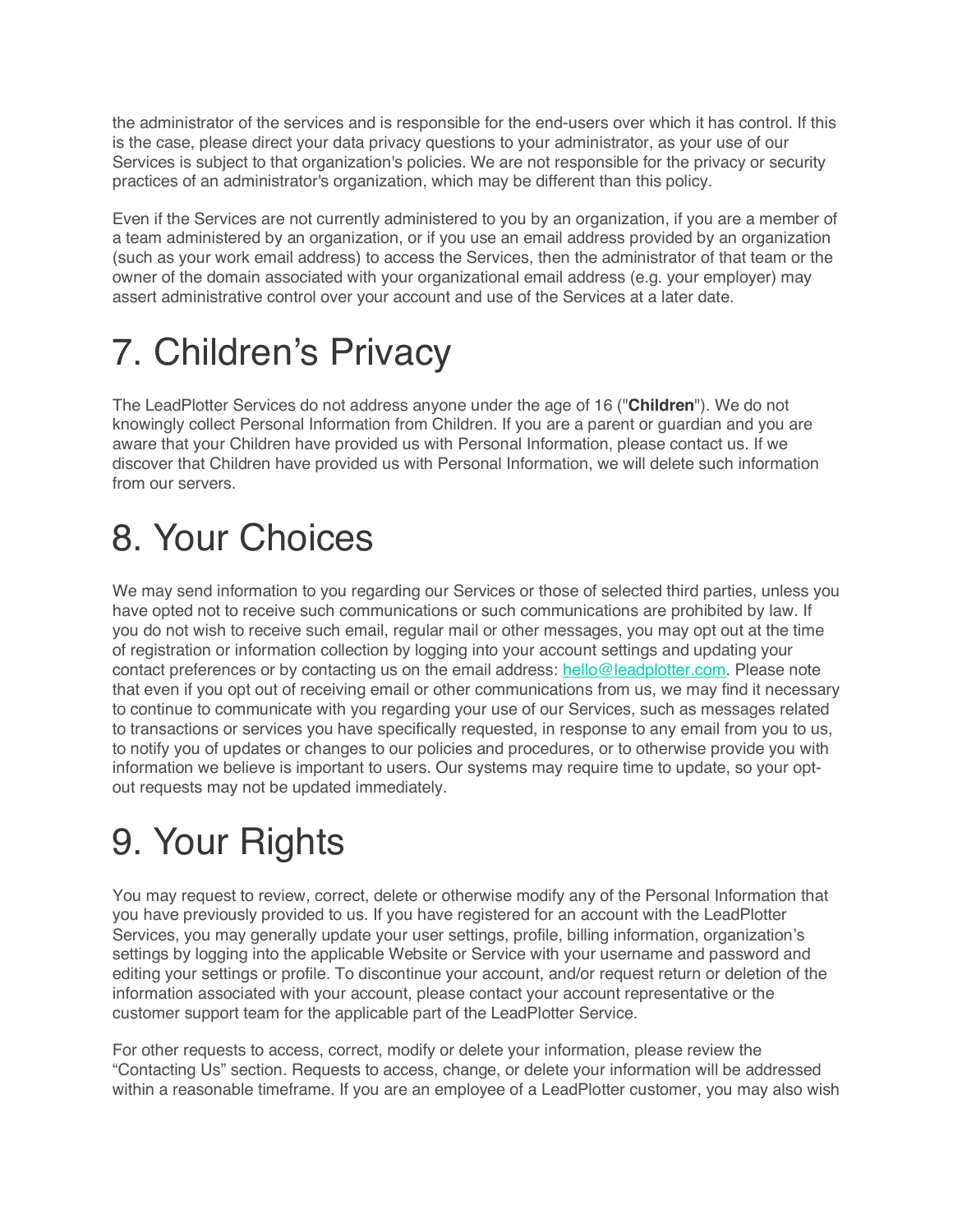the administrator of the services and is responsible for the end-users over which it has control. If this is the case, please direct your data privacy questions to your administrator, as your use of our Services is subject to that organization's policies. We are not responsible for the privacy or security practices of an administrator's organization, which may be different than this policy.

Even if the Services are not currently administered to you by an organization, if you are a member of a team administered by an organization, or if you use an email address provided by an organization (such as your work email address) to access the Services, then the administrator of that team or the owner of the domain associated with your organizational email address (e.g. your employer) may assert administrative control over your account and use of the Services at a later date.

# 7. Children's Privacy

The LeadPlotter Services do not address anyone under the age of 16 ("**Children**"). We do not knowingly collect Personal Information from Children. If you are a parent or guardian and you are aware that your Children have provided us with Personal Information, please contact us. If we discover that Children have provided us with Personal Information, we will delete such information from our servers.

## 8. Your Choices

We may send information to you regarding our Services or those of selected third parties, unless you have opted not to receive such communications or such communications are prohibited by law. If you do not wish to receive such email, regular mail or other messages, you may opt out at the time of registration or information collection by logging into your account settings and updating your contact preferences or by contacting us on the email address: hello@leadplotter.com. Please note that even if you opt out of receiving email or other communications from us, we may find it necessary to continue to communicate with you regarding your use of our Services, such as messages related to transactions or services you have specifically requested, in response to any email from you to us, to notify you of updates or changes to our policies and procedures, or to otherwise provide you with information we believe is important to users. Our systems may require time to update, so your optout requests may not be updated immediately.

# 9. Your Rights

You may request to review, correct, delete or otherwise modify any of the Personal Information that you have previously provided to us. If you have registered for an account with the LeadPlotter Services, you may generally update your user settings, profile, billing information, organization's settings by logging into the applicable Website or Service with your username and password and editing your settings or profile. To discontinue your account, and/or request return or deletion of the information associated with your account, please contact your account representative or the customer support team for the applicable part of the LeadPlotter Service.

For other requests to access, correct, modify or delete your information, please review the "Contacting Us" section. Requests to access, change, or delete your information will be addressed within a reasonable timeframe. If you are an employee of a LeadPlotter customer, you may also wish